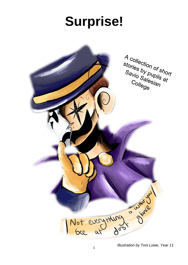# **Surprise!**



*Illustration by Toni Lowe, Year 11*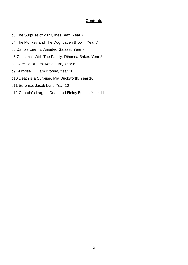#### **Contents**

p3 The Surprise of 2020, Inês Braz, Year 7 p4 The Monkey and The Dog, Jaden Brown, Year 7 p5 Dario's Enemy, Amadeo Galassi, Year 7 p6 Christmas With The Family, Rihanna Baker, Year 8 p8 Dare To Dream, Katie Lunt, Year 8 p9 Surprise…, Liam Brophy, Year 10 p10 Death is a Surprise, Mia Duckworth, Year 10 p11 Surprise, Jacob Lunt, Year 10 p12 Canada's Largest Deathbed Finley Foster, Year 11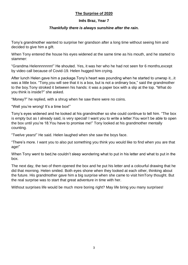# **The Surprise of 2020**

## **Inês Braz, Year 7**

## *Thankfully there is always sunshine after the rain.*

Tony's grandmother wanted to surprise her grandson after a long time without seeing him and decided to give him a gift.

When Tony entered the house his eyes widened at the same time as his mouth, and he started to stammer:

"Grandma Helennnnnnn!" He shouted. Yes, it was her who he had not seen for 6 months,except by video call because of Covid-19. Helen hugged him crying.

After lunch Helen gave him a package.Tony's heart was pounding when he started to unwrap it...it was a little box. "Tony, you will see that it is a box, but is not a ordinary box," said the grandmother to the boy.Tony stroked it between his hands: it was a paper box with a slip at the top. "What do you think is inside?" she asked.

"Money?" he replied, with a shrug when he saw there were no coins.

"Well you're wrong! It's a time box!"

Tony's eyes widened and he looked at his grandmother so she could continue to tell him. "The box is empty but as I already said, is very special! I want you to write a letter.You won't be able to open the box until you're 18.You have to promise me!" Tony looked at his grandmother mentally counting.

"Twelve years!" He said. Helen laughed when she saw the boys face.

"There's more. I want you to also put something you think you would like to find when you are that age!"

When Tony went to bed,he couldn't sleep wondering what to put in his letter and what to put in the box.

The next day, the two of them opened the box and he put his letter and a colourful drawing that he did that morning. Helen smiled. Both eyes shone when they looked at each other, thinking about the future. His grandmother gave him a big surprise when she came to visit himTony thought. But the real surprise was to start that great adventure in time with her.

Without surprises life would be much more boring right? May life bring you many surprises!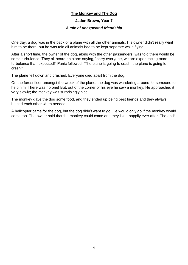## **The Monkey and The Dog**

## **Jaden Brown, Year 7**

## *A tale of unexpected friendship*

One day, a dog was in the back of a plane with all the other animals. His owner didn't really want him to be there, but he was told all animals had to be kept separate while flying.

After a short time, the owner of the dog, along with the other passengers, was told there would be some turbulence. They all heard an alarm saying, "sorry everyone, we are experiencing more turbulence than expected!" Panic followed. "The plane is going to crash: the plane is going to crash!"

The plane fell down and crashed. Everyone died apart from the dog.

On the forest floor amongst the wreck of the plane, the dog was wandering around for someone to help him. There was no one! But, out of the corner of his eye he saw a monkey. He approached it very slowly; the monkey was surprisingly nice.

The monkey gave the dog some food, and they ended up being best friends and they always helped each other when needed.

A helicopter came for the dog, but the dog didn't want to go. He would only go if the monkey would come too. The owner said that the monkey could come and they lived happily ever after. The end!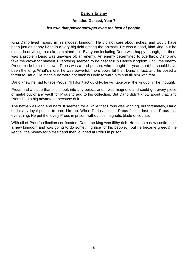# **Dario's Enemy**

#### **Amadeo Galassi, Year 7**

## *It's true that power corrupts even the best of people.*

King Dario lived happily in his modest kingdom. He did not care about riches, and would have been just as happy living in a very big field among the animals. He was a good, kind king, but he didn't do anything to make him stand out. Everyone including Dario was happy enough, but there was a problem Dario was unaware of: an enemy. An enemy determined to overthrow Dario and take the crown for himself. Everything seemed to be peaceful in Dario's kingdom, until, the enemy Prous made himself known. Prous was a bad person, who thought for years that he should have been the king. What's more, he was powerful, more powerful than Dario in fact, and he posed a threat to Dario. He made sure word got back to Dario to warn him and fill him with fear.

Dario knew he had to face Prous. "If I don't act quickly, he will take over the kingdom!" he thought.

Prous had a blade that could look into any object, and it was magnetic and could get every piece of metal out of any vault for Prous to add to his collection. But Dario didn't know about that, and Prous had a big advantage because of it.

The battle was long and hard. It seemed for a while that Prous was winning, but fortunately, Dario had many loyal people to back him up. When Dario attacked Prous for the last time, Prous lost everything. He put the lovely Prous in prison, without his magnetic blade of course.

With all of Prous' collection confiscated, Dario the king was filthy rich. He made a new castle, built a new kingdom and was going to do something nice for his people….but he became greedy! He kept all the money for himself and then laughed at Prous in prison.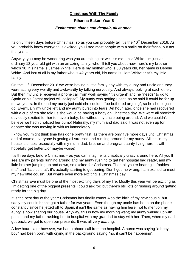# **Christmas With The Family**

## **Rihanna Baker, Year 8**

## *Excitement, chaos and despair, all at once.*

Its only fifteen days before Christmas, so as you can probably tell it's the  $10<sup>th</sup>$  December 2016. As you probably know everyone is excited; you'll see most people with a smile on their faces, but not this year…

Anyway, you may be wondering who you are talking to: well it's me, Leila White. I'm just an ordinary 13 year old girl with an amazing family, who I'll tell you about now: here's my brother who's 10, his name is James White. Here is my mother who is 38 years old, her name is Debbie White. And last of all is my father who is 42 years old, his name is Liam White: that's my little family.

On the 11<sup>th</sup> December 2016 we were having a little family day with my aunty and uncle and they were acting very weirdly and awkwardly by talking nervously. And always looking at each other. But then my uncle received a phone call from work saying "it's urgent" and he "needs" to go to Spain or his "latest project will collapse". My aunty was getting upset, as he said it could be for up to two years. In the end my aunty just said she couldn't "be bothered arguing", so he should just go. Eventually my uncle left and my aunty burst into tears. An hour later, once she had recovered with a cup of tea she told us she would be having a baby on Christmas day. We were all shocked: obviously excited for her to have a baby, but without my uncle being around. And we couldn't believe we hadn't noticed her bump! Naturally, my mum and dad said it was not even up for debate: she was moving in with us immediately.

I know you might think time has gone pretty fast, as there are only five more days until Christmas, and of course, everyone is getting all stressed and running around for my aunty. All it is in my house is chaos, especially with my mum, dad, brother and pregnant aunty living here. It will hopefully get better…or maybe worse!

It's three days before Christmas – as you can imagine its chaotically crazy around here. All you'll see are my parents running around and my aunty rushing to get her hospital bag ready, and my little brother jumping up and down, so excited for Christmas. Then all you're hearing is "babies this" and "babies that", it's actually starting to get boring. Don't get me wrong, I am excited to meet my new little cousin. But what's even more exciting is Christmas day!

Christmas Eve must be one of the most exciting days of my life. Mostly this year will be exciting as I'm getting one of the biggest presents I could ask for: but there's still lots of rushing around getting ready for the big day.

It is the best day of the year: Christmas has finally come! Also the birth of my new cousin, but sadly my cousin hasn't got a father for two years. Even though my uncle has been on the phone constantly since he jetted off to Spain, it isn't the same as having him here, not to mention my aunty is now sharing our house. Anyway, this is how my morning went; my aunty waking up with pains, and my father rushing her to hospital with my grandad to stay with her. Then, when my dad got back, we got to open our presents. It was all very exciting.

A few hours later however, we had a phone call from the hospital. A nurse was saying "a baby boy" had been born, with crying in the background saying "no, it can't be happening".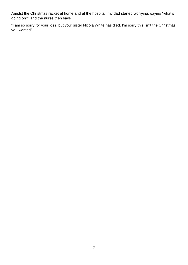Amidst the Christmas racket at home and at the hospital, my dad started worrying, saying "what's going on?" and the nurse then says

"I am so sorry for your loss, but your sister Nicola White has died. I'm sorry this isn't the Christmas you wanted".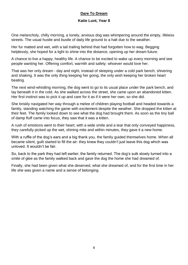# **Dare To Dream**

## **Katie Lunt, Year 8**

One melancholy, chilly morning, a lonely, anxious dog was whimpering around the empty, lifeless streets. The usual hustle and bustle of daily life ground to a halt due to the weather.

Her fur matted and wet, with a tail trailing behind that had forgotten how to wag. Begging helplessly, she hoped for a light to shine into the distance, opening up her dream future.

A chance to live a happy, healthy life. A chance to be excited to wake up every morning and see people wanting her. Offering comfort, warmth and safety: whoever would love her.

That was her only dream - day and night, instead of sleeping under a cold park bench, shivering and shaking. It was the only thing keeping her going, the only wish keeping her broken heart beating.

The next wind-whistling morning, the dog went to go to its usual place under the park bench, and lay beneath it in the cold. As she walked across the street, she came upon an abandoned kitten. Her first instinct was to pick it up and care for it as if it were her own, so she did.

She briskly navigated her way through a melee of children playing football and headed towards a family, standing watching the game with excitement despite the weather. She dropped the kitten at their feet. The family looked down to see what the dog had brought them. As soon as the tiny ball of damp fluff came into focus, they saw that it was a kitten.

A rush of emotions went to their heart; with a wide smile and a tear that only conveyed happiness, they carefully picked up the wet, shining mite and within minutes, they gave it a new home.

With a ruffle of the dog's ears and a big thank you, the family guided themselves home. When all became silent, guilt started to fill the air: they knew they couldn't just leave this dog which was unloved. It wouldn't be fair.

So, back to the park they had left earlier; the family returned. The dog's sulk slowly turned into a smile of glee as the family walked back and gave the dog the home she had dreamed of.

Finally, she had been given what she deserved, what she dreamed of, and for the first time in her life she was given a name and a sense of belonging.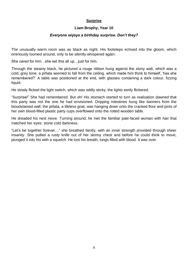## **Surprise**

## **Liam Brophy, Year 10**

## *Everyone enjoys a birthday surprise. Don't they?*

The unusually warm room was as black as night. His footsteps echoed into the gloom, which ominously loomed around, only to be silently whispered again.

She cared for him…she set this all up…just for him.

Through the steamy black, he pictured a rouge ribbon hung against the stony wall, which was a cold, grey tone; a piñata seemed to fall from the ceiling, which made him think to himself, 'has she remembered?' A table was positioned at the end, with glasses containing a dark colour, fizzing liquid.

He slowly flicked the light switch, which was oddly sticky; the lights eerily flickered.

"Surprise!" She had remembered. But oh! His stomach started to turn as realisation dawned that this party was not the one he had envisioned. Dripping intestines hung like banners from the bloodstained wall; the piñata, a lifeless goat, was hanging down onto the cracked floor and pints of her own blood-filled plastic party cups overflowed onto the rotted wooden table.

He dreaded his next move. Turning around, he met the familiar pale-faced woman with hair that matched her eyes: stone cold darkness.

"Let's be together forever…" she breathed faintly, with an inner strength provided through sheer insanity. She pulled a rusty knife out of her skinny chest and before he could think to move, plunged it into his with a squelch. He lost his breath, lungs filled with blood. It was over.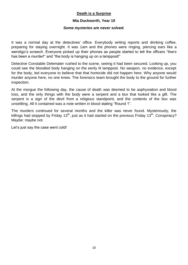## **Death is a Surprise**

#### **Mia Duckworth, Year 10**

#### *Some mysteries are never solved.*

It was a normal day at the detectives' office. Everybody writing reports and drinking coffee, preparing for staying overnight. It was 1am and the phones were ringing, piercing ears like a wendigo's screech. Everyone picked up their phones as people started to tell the officers "there has been a murder!" and "the body is hanging up on a lamppost!"

Detective Constable Delemater rushed to the scene, seeing it had been secured. Looking up, you could see the bloodied body hanging on the eerily lit lamppost. No weapon, no evidence, except for the body, led everyone to believe that that homicide did not happen here. Why anyone would murder anyone here, no one knew. The forensics team brought the body to the ground for further inspection.

At the morgue the following day, the cause of death was deemed to be asphyxiation and blood loss, and the only things with the body were a serpent and a box that looked like a gift. The serpent is a sign of the devil from a religious standpoint, and the contents of the box was unsettling. All it contained was a note written in blood stating "Round 1".

The murders continued for several months and the killer was never found. Mysteriously, the killings had stopped by Friday 13<sup>th</sup>, just as it had started on the previous Friday 13<sup>th</sup>. Conspiracy? Maybe: maybe not.

Let's just say the case went cold!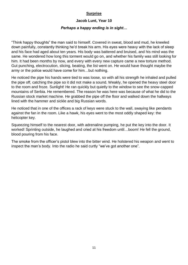# **Surprise**

## **Jacob Lunt, Year 10**

## *Perhaps a happy ending is in sight…*

"Think happy thoughts" the man said to himself. Covered in sweat, blood and mud, he kneeled down painfully, constantly thinking he'd break his arm. His eyes were heavy with the lack of sleep and his face had aged about ten years. His body was battered and bruised, and his mind was the same. He wondered how long this torment would go on, and whether his family was still looking for him. It had been months by now, and every with every new capture came a new torture method. Gut punching, electrocution, slicing, beating, the list went on. He would have thought maybe the army or the police would have come for him…but nothing.

He noticed the pipe his hands were tied to was loose, so with all his strength he inhaled and pulled the pipe off, catching the pipe so it did not make a sound. Weakly, he opened the heavy steel door to the room and froze. Sunlight! He ran quickly but quietly to the window to see the snow-capped mountains of Serbia. He remembered. The reason he was here was because of what he did to the Russian stock market machine. He grabbed the pipe off the floor and walked down the hallways lined with the hammer and sickle and big Russian words.

He noticed that in one of the offices a rack of keys were stuck to the wall, swaying like pendants against the fan in the room. Like a hawk, his eyes went to the most oddly shaped key: the helicopter key.

Squeezing himself to the nearest door, with adrenaline pumping, he put the key into the door. It worked! Sprinting outside, he laughed and cried at his freedom until…boom! He fell the ground, blood pouring from his face.

The smoke from the officer's pistol blew into the bitter wind. He holstered his weapon and went to inspect the man's body. Into the radio he said curtly "we've got another one".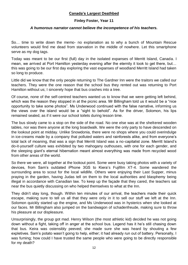## **Canada's Largest Deathbed**

## **Finley Foster, Year 11**

#### *A humorous narrator cannot believe the incompetence of his teachers.*

So… time to write down the memo- no explanation as to why a bunch of Mountain Rescue volunteers would find me dead from starvation in the middle of nowhere. Let this smartphone serve as my dog tags.

Today was meant to be our first (full) day in the isolated expanses of Merritt Island, Canada. I mean, we arrived at Port Hamilton yesterday evening after the eternity it took to get there, but… this was going to be our first day exploring the vast expanses of woodland Merritt Island had taken so long to produce.

Little did we know that the only people returning to The Gardner Inn were the traitors we called our teachers. They were the one reason that the school bus they rented out was returning to Port Hamilton without us; I sincerely hope that bus crashes into a tree.

Of course, none of the self-centred teachers wanted us to know that we were getting left behind, which was the reason they stopped in at the picnic area. Mr Billingham told us it would be a "nice" opportunity to take some photos". Ms Underwood continued with the false narrative, informing us the views over the island would be a "sight to behold". As for the driver, Solomon, his lips remained sealed, as if it were our school toilets during lesson time.

The bus slowly came to a stop on the side of the road. No one else was at the sheltered wooden tables, nor was there anyone at the long boardwalk. We were the only party to have descended on the lookout point at midday. Unlike Snowdonia, there were no shops where you could overindulge in ice-creams made by a company that polluted waters and rainforests alike, and from everyone's total lack of moaning, that was a sign that Merritt Island was a no-capitalist zone. Merritt Island's do-it-yourself culture was exhibited by two mahogany outhouses, with one for each gender, and the sleeping giant's eternal hibernation meant almost everything was made from recycled wood from other areas of the world.

So there we were, all together at the lookout point. Some were busy taking photos with a variety of devices, from Sam's outdated iPhone 3GS to Kiera's Fujifilm XT-4. Some wandered the surrounding area to scout for the local wildlife. Others were enjoying their Last Supper, minus praying in the garden, having Judas tell on them to the local authorities and blasphemy being illegal in accordance with Canadian law. To keep up the façade that they cared, the teachers sat near the bus quietly discussing on who helped themselves to what at the Inn.

They didn't stay long, though. Within ten minutes of our arrival, the teachers made their quick escape, making sure to tell us all that they were only in it to sell our stuff we left at the Inn. Solomon quickly started up the engine, and Ms Underwood was in hysterics when she looked at our faces. Mr Billingham also jumped on the bandwagon of schadenfreude, making sure to throw his pleasure at our displeasure.

Unsurprisingly, the group got mad. Henry Wilson (the most athletic kid) decided he was not going down without a fight, taking off in anger at the school bus. Legend has it he's still chasing down that bus. Keira was ostensibly peeved; she made sure she was heard by shouting a few expletives. Sam's potato wasn't going to help, either; it had already run out of battery. Personally, I was fuming; how could I have trusted the same people who were going to be directly responsible for my death?